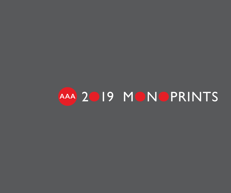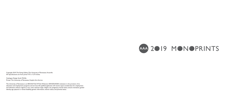

**AAA** 2O19 MONOPRINTS

Copyright 2019, The Ewing Gallery, The University of Tennessee, Knoxville All reproductions are from prints 9.75 x 12.75 inches.

Catalogue Design: Sarah McFalls Printer: The University of Tennessee, Graphic Arts Service

The University of Tennessee is an EEO/AA/Title VI/Title IX/Section 504/ADA/ADEA institution in the provision of its education and employment programs and services. All qualified applicants will receive equal consideration for employment and admission without regard to race, color, national origin, religion, sex, pregnancy, marital status, sexual orientation, gender identity, age, physical or mental disability, genetic information, veteran status, and parental status.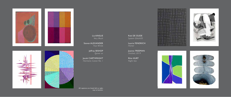

Liz AINSLIE *Very Much*

Steven ALEXANDER *Four Winds*

> Jeffrey BISHOP *Quiver xx*

Jacob CARTWRIGHT *Harmonic Canon No. 1*

Rob DE OUDE *System Glitch/05*

Laurie FENDRICH *Homer*

Joanne FREEMAN *Untitled, 2019*

Rhia HURT *Night Sea*

All captions are listed left to right, top to bottom.







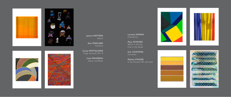

Joanne MATTERA *Weave*

Don PORCARO *Inventory*

Corey POSTIGLIONE *Tango Interlude #37-A*

> Irene ROUSSEAU *Above and Below*

Lorenza SANNAI *Evening Sun*

Mary SCHILIRO *Warm in the Sun, Cool in the Shade*

Kim UCHIYAMA *Concordia*

Melissa STAIGER *In the Fountain #4 with dots*











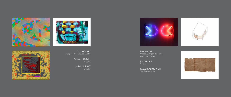





Gary GOLKIN *Study for Met Curves Quatro*

> Pinkney HERBERT *Nuggets*

> > Judith MURRAY *What If*



Lisa NANNI *Opposing Argon Blue and Neon Red Waves*

Jim OSMAN *Corner*

Raquel RABINOVICH *The Endless River*